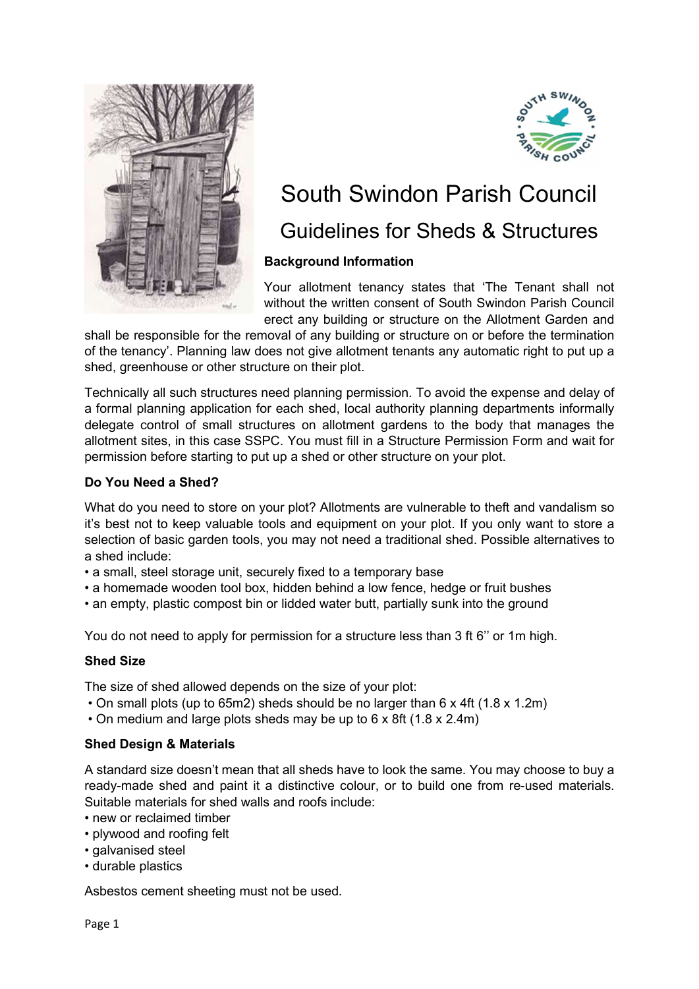



# South Swindon Parish Council

# Guidelines for Sheds & Structures

# Background Information

Your allotment tenancy states that 'The Tenant shall not without the written consent of South Swindon Parish Council erect any building or structure on the Allotment Garden and

shall be responsible for the removal of any building or structure on or before the termination of the tenancy'. Planning law does not give allotment tenants any automatic right to put up a shed, greenhouse or other structure on their plot.

Technically all such structures need planning permission. To avoid the expense and delay of a formal planning application for each shed, local authority planning departments informally delegate control of small structures on allotment gardens to the body that manages the allotment sites, in this case SSPC. You must fill in a Structure Permission Form and wait for permission before starting to put up a shed or other structure on your plot.

# Do You Need a Shed?

What do you need to store on your plot? Allotments are vulnerable to theft and vandalism so it's best not to keep valuable tools and equipment on your plot. If you only want to store a selection of basic garden tools, you may not need a traditional shed. Possible alternatives to a shed include:

- a small, steel storage unit, securely fixed to a temporary base
- a homemade wooden tool box, hidden behind a low fence, hedge or fruit bushes
- an empty, plastic compost bin or lidded water butt, partially sunk into the ground

You do not need to apply for permission for a structure less than 3 ft 6'' or 1m high.

# Shed Size

The size of shed allowed depends on the size of your plot:

- On small plots (up to 65m2) sheds should be no larger than 6 x 4ft (1.8 x 1.2m)
- On medium and large plots sheds may be up to 6 x 8ft (1.8 x 2.4m)

# Shed Design & Materials

A standard size doesn't mean that all sheds have to look the same. You may choose to buy a ready-made shed and paint it a distinctive colour, or to build one from re-used materials. Suitable materials for shed walls and roofs include:

- new or reclaimed timber
- plywood and roofing felt
- galvanised steel
- durable plastics

Asbestos cement sheeting must not be used.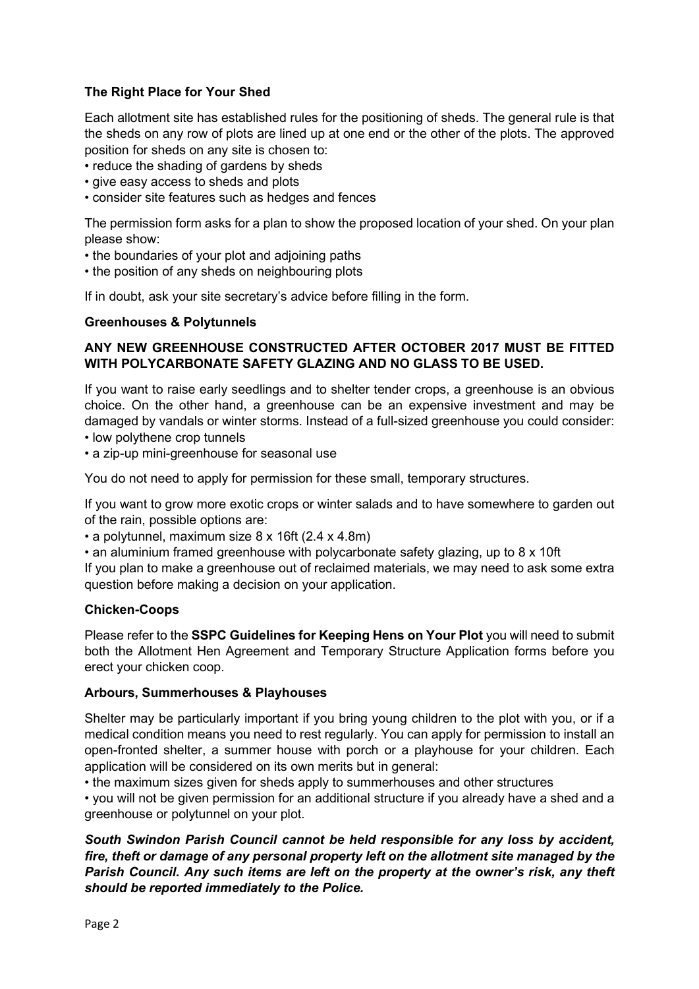# The Right Place for Your Shed

Each allotment site has established rules for the positioning of sheds. The general rule is that the sheds on any row of plots are lined up at one end or the other of the plots. The approved position for sheds on any site is chosen to:

- reduce the shading of gardens by sheds
- give easy access to sheds and plots
- consider site features such as hedges and fences

The permission form asks for a plan to show the proposed location of your shed. On your plan please show:

- the boundaries of your plot and adjoining paths
- the position of any sheds on neighbouring plots

If in doubt, ask your site secretary's advice before filling in the form.

#### Greenhouses & Polytunnels

# ANY NEW GREENHOUSE CONSTRUCTED AFTER OCTOBER 2017 MUST BE FITTED WITH POLYCARBONATE SAFETY GLAZING AND NO GLASS TO BE USED.

If you want to raise early seedlings and to shelter tender crops, a greenhouse is an obvious choice. On the other hand, a greenhouse can be an expensive investment and may be damaged by vandals or winter storms. Instead of a full-sized greenhouse you could consider:

• low polythene crop tunnels

• a zip-up mini-greenhouse for seasonal use

You do not need to apply for permission for these small, temporary structures.

If you want to grow more exotic crops or winter salads and to have somewhere to garden out of the rain, possible options are:

• a polytunnel, maximum size 8 x 16ft (2.4 x 4.8m)

• an aluminium framed greenhouse with polycarbonate safety glazing, up to 8 x 10ft If you plan to make a greenhouse out of reclaimed materials, we may need to ask some extra question before making a decision on your application.

#### Chicken-Coops

Please refer to the SSPC Guidelines for Keeping Hens on Your Plot you will need to submit both the Allotment Hen Agreement and Temporary Structure Application forms before you erect your chicken coop.

#### Arbours, Summerhouses & Playhouses

Shelter may be particularly important if you bring young children to the plot with you, or if a medical condition means you need to rest regularly. You can apply for permission to install an open-fronted shelter, a summer house with porch or a playhouse for your children. Each application will be considered on its own merits but in general:

• the maximum sizes given for sheds apply to summerhouses and other structures

• you will not be given permission for an additional structure if you already have a shed and a greenhouse or polytunnel on your plot.

South Swindon Parish Council cannot be held responsible for any loss by accident, fire, theft or damage of any personal property left on the allotment site managed by the Parish Council. Any such items are left on the property at the owner's risk, any theft should be reported immediately to the Police.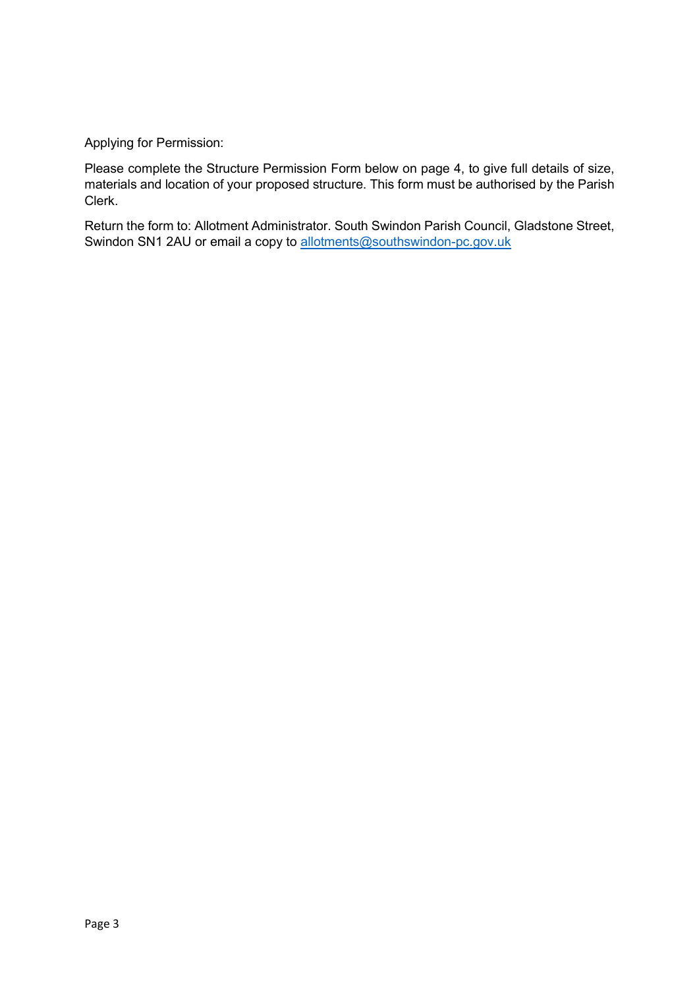Applying for Permission:

Please complete the Structure Permission Form below on page 4, to give full details of size, materials and location of your proposed structure. This form must be authorised by the Parish Clerk.

Return the form to: Allotment Administrator. South Swindon Parish Council, Gladstone Street, Swindon SN1 2AU or email a copy to allotments@southswindon-pc.gov.uk